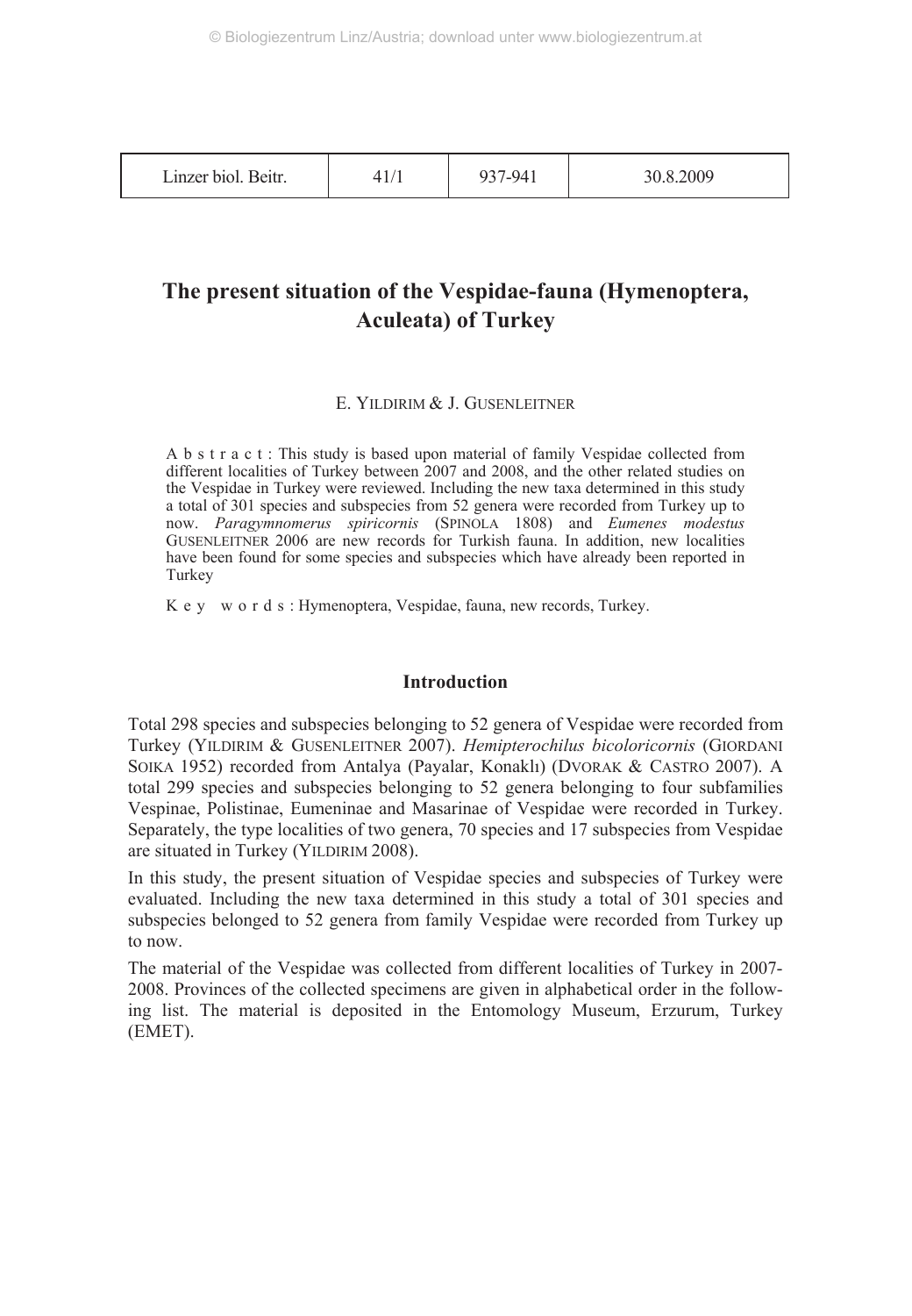| Linzer biol. Beitr. | 937-941 | 30.8.2009 |
|---------------------|---------|-----------|
|---------------------|---------|-----------|

## **The present situation of the Vespidae-fauna (Hymenoptera, Aculeata) of Turkey**

## E. YILDIRIM & J. GUSENLEITNER

A b s t r a c t : This study is based upon material of family Vespidae collected from different localities of Turkey between 2007 and 2008, and the other related studies on the Vespidae in Turkey were reviewed. Including the new taxa determined in this study a total of 301 species and subspecies from 52 genera were recorded from Turkey up to now. *Paragymnomerus spiricornis* (SPINOLA 1808) and *Eumenes modestus* GUSENLEITNER 2006 are new records for Turkish fauna. In addition, new localities have been found for some species and subspecies which have already been reported in Turkey

K e y w o r d s : Hymenoptera, Vespidae, fauna, new records, Turkey.

## **Introduction**

Total 298 species and subspecies belonging to 52 genera of Vespidae were recorded from Turkey (YILDIRIM & GUSENLEITNER 2007). *Hemipterochilus bicoloricornis* (GIORDANI SOIKA 1952) recorded from Antalya (Payalar, Konaklı) (DVORAK & CASTRO 2007). A total 299 species and subspecies belonging to 52 genera belonging to four subfamilies Vespinae, Polistinae, Eumeninae and Masarinae of Vespidae were recorded in Turkey. Separately, the type localities of two genera, 70 species and 17 subspecies from Vespidae are situated in Turkey (YILDIRIM 2008).

In this study, the present situation of Vespidae species and subspecies of Turkey were evaluated. Including the new taxa determined in this study a total of 301 species and subspecies belonged to 52 genera from family Vespidae were recorded from Turkey up to now.

The material of the Vespidae was collected from different localities of Turkey in 2007- 2008. Provinces of the collected specimens are given in alphabetical order in the following list. The material is deposited in the Entomology Museum, Erzurum, Turkey (EMET).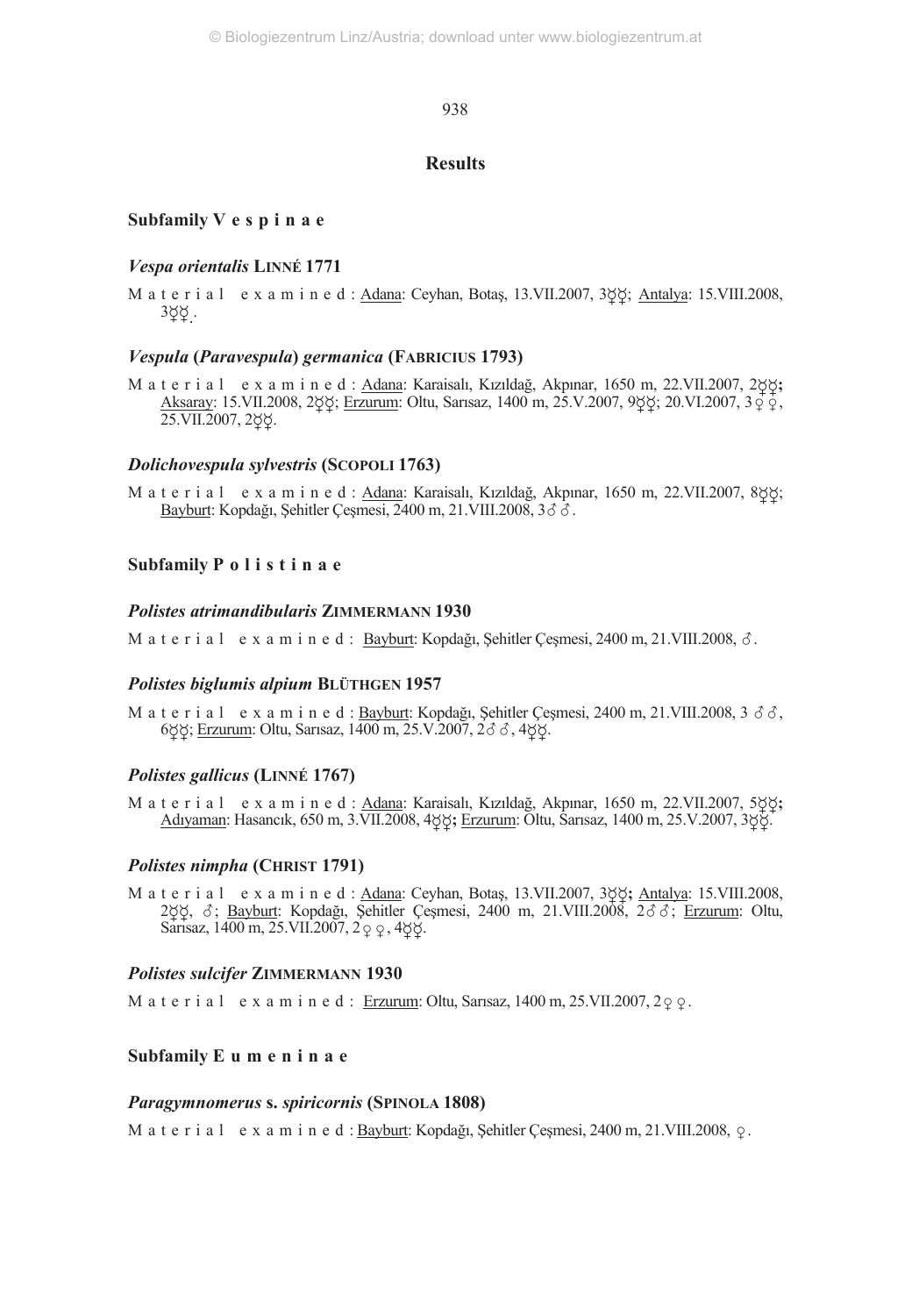## **Results**

## **Subfamily V e s p i n a e**

## *Vespa orientalis* **LINNÉ 1771**

M a t e r i a l e x a m i n e d : Adana: Ceyhan, Botaş, 13.VII.2007, 388; Antalya: 15.VIII.2008, 3ğğ.

## *Vespula* **(***Paravespula***)** *germanica* **(FABRICIUS 1793)**

M a t e r i a l e x a m i n e d : Adana: Karaisalı, Kızıldağ, Akpınar, 1650 m, 22.VII.2007, 2**;** Aksaray: 15.VII.2008, 2 $\upphi$ ; Erzurum: Oltu, Sarısaz, 1400 m, 25.V.2007, 9 $\upphi$ ; 20.VI.2007, 3 $\circ$  $\phi$ , 25.VII.2007, 2gg.

## *Dolichovespula sylvestris* **(SCOPOLI 1763)**

M a t e r i a l e x a m i n e d : Adana: Karaisalı, Kızıldağ, Akpınar, 1650 m, 22.VII.2007, 888; Bayburt: Kopdağı, Şehitler Çeşmesi, 2400 m, 21.VIII.2008, 36 3.

## **Subfamily P o l i s t i n a e**

## *Polistes atrimandibularis* **ZIMMERMANN 1930**

M a t e r i a l e x a m i n e d : <u>Bayburt</u>: Kopdağı, Şehitler Çeşmesi, 2400 m, 21.VIII.2008, *δ*.

## *Polistes biglumis alpium* **BLÜTHGEN 1957**

M a t e r i a l e x a m i n e d : <u>Bayburt</u>: Kopdağı, Şehitler Çeşmesi, 2400 m, 21.VIII.2008, 3 3 3 3, 6ဝ္ဝို: <u>Erzurum</u>: Oltu, Sarısaz, 1400 m, 25.V.2007, 2*δ δ* , 4ဝိုပို.

## *Polistes gallicus* **(LINNÉ 1767)**

M a t e r i a l e x a m i n e d : Adana: Karaisalı, Kızıldağ, Akpınar, 1650 m, 22.VII.2007, 5 $\upphi\mathbf{S}$ ; Adıyaman: Hasancık, 650 m, 3.VII.2008, 4 $\varphi\varphi$ ; Erzurum: Oltu, Sarısaz, 1400 m, 25.V.2007, 3 $\varphi\varphi$ .

## *Polistes nimpha* **(CHRIST 1791)**

M a t e r i a l e x a m i n e d : Adana: Ceyhan, Botaş, 13.VII.2007, 3**;** Antalya: 15.VIII.2008, 2gg, 8; Bayburt: Kopdağı, Şehitler Çeşmesi, 2400 m, 21.VIII.2008, 288; Erzurum: Oltu, Sarisaz,  $1400 \text{ m}, 25 \text{.VII}.2007, 299, 488.$ 

## *Polistes sulcifer* **ZIMMERMANN 1930**

M a t e r i a l e x a m i n e d : Erzurum: Oltu, Sarısaz, 1400 m, 25.VII.2007, 2 $\varphi$   $\varphi$ .

## **Subfamily E u m e n i n a e**

#### *Paragymnomerus* **s.** *spiricornis* **(SPINOLA 1808)**

M a t e r i a l e x a m i n e d :  $\underline{Bayburt}$ : Kopdağı, Şehitler Çeşmesi, 2400 m, 21.VIII.2008,  $\varphi$ .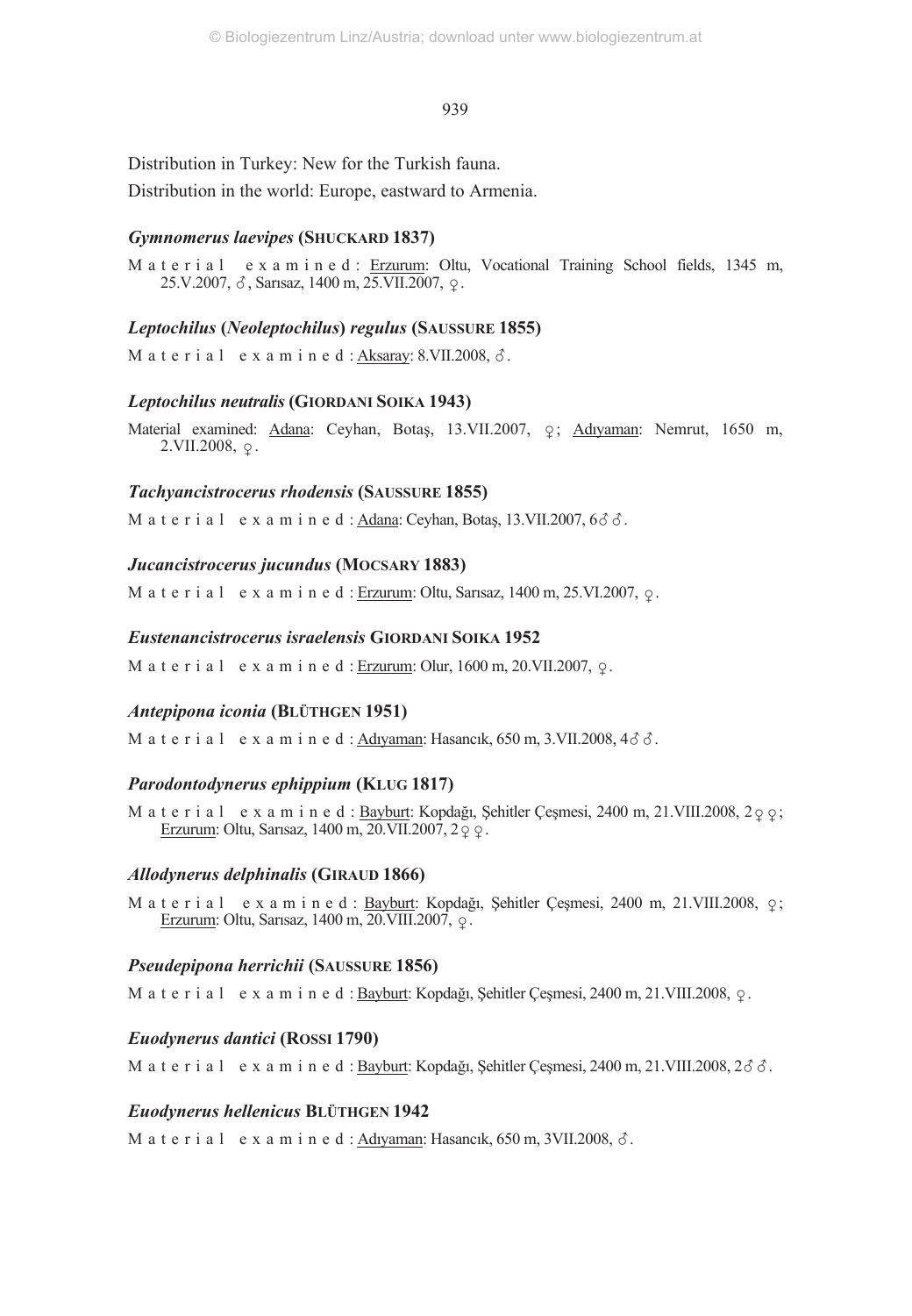Distribution in Turkey: New for the Turkish fauna. Distribution in the world: Europe, eastward to Armenia.

## *Gymnomerus laevipes* **(SHUCKARD 1837)**

M a t e r i a l e x a m i n e d : Erzurum: Oltu, Vocational Training School fields, 1345 m,  $25.V.2007, \delta$ , Sarısaz, 1400 m, 25.VII.2007,  $\varphi$ .

## *Leptochilus* **(***Neoleptochilus***)** *regulus* **(SAUSSURE 1855)**

M a t e r i a l e x a m i n e d : <u>Aksaray</u>: 8.VII.2008, *3* .

## *Leptochilus neutralis* **(GIORDANI SOIKA 1943)**

Material examined: Adana: Ceyhan, Botaş, 13.VII.2007, ç; Adıyaman: Nemrut, 1650 m,  $2.VII.2008, \varphi$ .

## *Tachyancistrocerus rhodensis* **(SAUSSURE 1855)**

M a t e r i a l e x a m i n e d : <u>Adana</u>: Ceyhan, Botaş, 13.VII.2007, 6*3 3* .

## *Jucancistrocerus jucundus* **(MOCSARY 1883)**

M a t e r i a l e x a m i n e d : Erzurum: Oltu, Sarısaz, 1400 m, 25.VI.2007,  $\varphi$ .

## *Eustenancistrocerus israelensis* **GIORDANI SOIKA 1952**

M a t e r i a l e x a m i n e d : Erzurum: Olur,  $1600$  m,  $20$ .VII.2007,  $\circ$ .

## *Antepipona iconia* **(BLÜTHGEN 1951)**

M a t e r i a l e x a m i n e d : <u>Adıyaman</u>: Hasancık, 650 m, 3.VII.2008, 4*3 3* .

## *Parodontodynerus ephippium* **(KLUG 1817)**

M a t e r i a l e x a m i n e d : Bayburt: Kopdağı, Şehitler Çeşmesi, 2400 m, 21.VIII.2008, 200; Erzurum: Oltu, Sarısaz, 1400 m, 20.VII.2007, 2.9.

## *Allodynerus delphinalis* **(GIRAUD 1866)**

M a t e r i a l e x a m i n e d : Bayburt: Kopdağı, Şehitler Çeşmesi, 2400 m, 21.VIII.2008,  $\varphi$ ; Erzurum: Oltu, Sarısaz, 1400 m, 20. VIII. 2007,  $\varphi$ .

## *Pseudepipona herrichii* **(SAUSSURE 1856)**

M a t e r i a l e x a m i n e d : Bayburt: Kopdağı, Şehitler Çeşmesi, 2400 m, 21.VIII.2008,  $\Omega$ .

## *Euodynerus dantici* **(ROSSI 1790)**

M a t e r i a l e x a m i n e d : Bayburt: Kopdağı, Şehitler Çeşmesi, 2400 m, 21.VIII.2008, 26 3.

## *Euodynerus hellenicus* **BLÜTHGEN 1942**

M a t e r i a l e x a m i n e d : <u>Adıyaman</u>: Hasancık, 650 m, 3VII.2008, *δ*.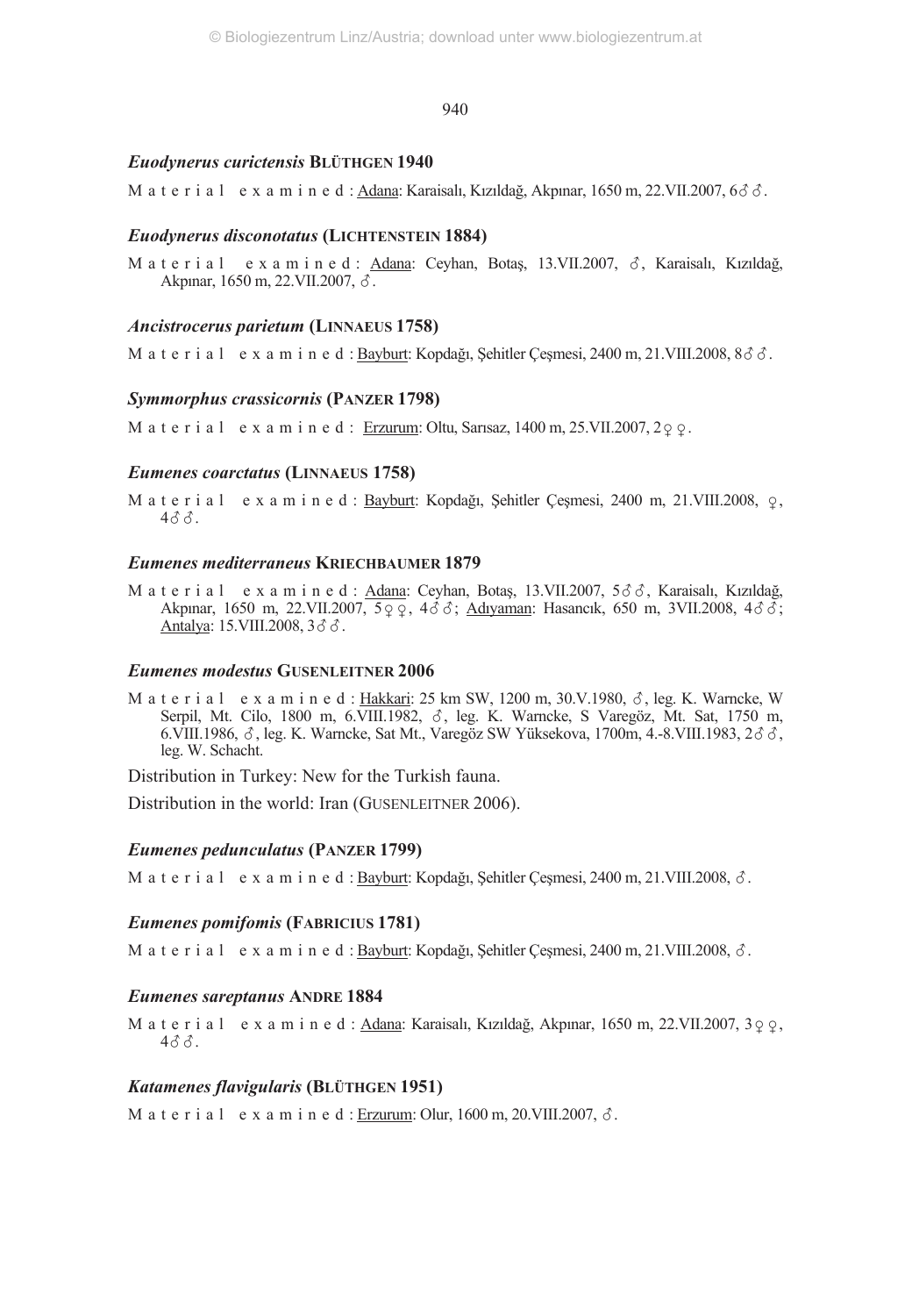## *Euodynerus curictensis* **BLÜTHGEN 1940**

M a t e r i a l e x a m i n e d : <u>Adana</u>: Karaisalı, Kızıldağ, Akpınar, 1650 m, 22.VII.2007, 6*3 c*.

## *Euodynerus disconotatus* **(LICHTENSTEIN 1884)**

M a t e r i a l e x a m i n e d : <u>Adana</u>: Ceyhan, Botaş, 13.VII.2007, δ, Karaisalı, Kızıldağ, Akpınar, 1650 m, 22.VII.2007, *3*.

## *Ancistrocerus parietum* **(LINNAEUS 1758)**

M a t e r i a l e x a m i n e d : <u>Bayburt</u>: Kopdağı, Şehitler Çeşmesi, 2400 m, 21.VIII.2008, 8δδ.

## *Symmorphus crassicornis* **(PANZER 1798)**

M a t e r i a l e x a m i n e d : Erzurum: Oltu, Sarısaz,  $1400$  m,  $25$ .VII.2007,  $2\circ \circ$ .

## *Eumenes coarctatus* **(LINNAEUS 1758)**

M a t e r i a l e x a m i n e d : Bayburt: Kopdağı, Şehitler Çeşmesi, 2400 m, 21.VIII.2008,  $\varphi$ , 433.

## *Eumenes mediterraneus* **KRIECHBAUMER 1879**

M a t e r i a l = e x a m i n e d : <u>Adana</u>: Ceyhan, Botaş, 13.VII.2007, 5♂♂, Karaisalı, Kızıldağ, Akpınar, 1650 m, 22.VII.2007, 5 q q, 4 d d; Adıyaman: Hasancık, 650 m, 3VII.2008, 4 d d;<br>http://www.2000.2.1.1.2007, 5 q q, 4 d d; . 2008, 36 Å. <u>Antalya</u>: 15.VIII.2008, 36 Å

#### *Eumenes modestus* **GUSENLEITNER 2006**

M a t e r i a l e x a m i n e d : <u>Hakkari</u>: 25 km SW, 1200 m, 30.V.1980, *δ*, leg. K. Warncke, W Serpil, Mt. Cilo, 1800 m, 6.VIII.1982,  $\delta$ , leg. K. Warncke, S Varegöz, Mt. Sat, 1750 m, 6.VIII.1986,  $\delta$ , leg. K. Warncke, Sat Mt., Varegöz SW Yüksekova, 1700m, 4.-8.VIII.1983, 2 $\delta \delta$ , leg. W. Schacht.

Distribution in Turkey: New for the Turkish fauna.

Distribution in the world: Iran (GUSENLEITNER 2006).

## *Eumenes pedunculatus* **(PANZER 1799)**

M a t e r i a l e x a m i n e d : Bayburt: Kopdağı, Şehitler Çeşmesi, 2400 m, 21.VIII.2008, 3.

## *Eumenes pomifomis* **(FABRICIUS 1781)**

M a t e r i a l e x a m i n e d : Bayburt: Kopdağı, Şehitler Çeşmesi, 2400 m, 21.VIII.2008, 3.

## *Eumenes sareptanus* **ANDRE 1884**

M a t e r i a l e x a m i n e d : Adana: Karaisalı, Kızıldağ, Akpınar, 1650 m, 22.VII.2007, 3 $\circ$   $\circ$ , 433.

## *Katamenes flavigularis* **(BLÜTHGEN 1951)**

M a t e r i a l e x a m i n e d : <u>Erzurum</u>: Olur, 1600 m, 20.VIII.2007, *δ*.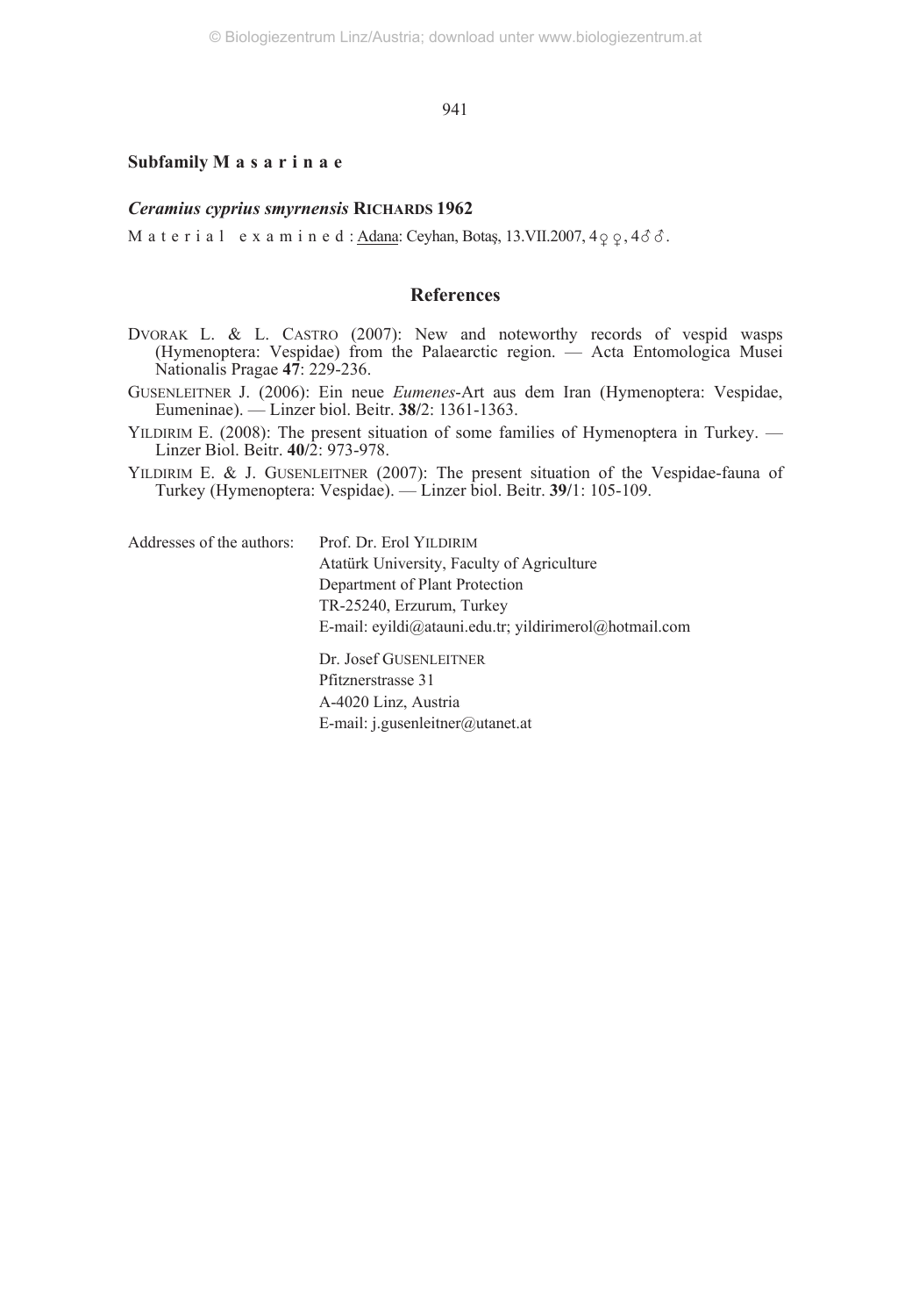## **Subfamily M a s a r i n a e**

#### *Ceramius cyprius smyrnensis* **RICHARDS 1962**

M a t e r i a l  $\cdot$  e x a m i n e d : <u>Adana</u>: Ceyhan, Botaş, 13.VII.2007, 4 $\varphi$   $\varphi$ , 4 $\delta$   $\delta$ .

## **References**

- DVORAK L. & L. CASTRO (2007): New and noteworthy records of vespid wasps (Hymenoptera: Vespidae) from the Palaearctic region. — Acta Entomologica Musei Nationalis Pragae **47**: 229-236.
- GUSENLEITNER J. (2006): Ein neue *Eumenes*-Art aus dem Iran (Hymenoptera: Vespidae, Eumeninae). — Linzer biol. Beitr. **38/**2: 1361-1363.
- YILDIRIM E. (2008): The present situation of some families of Hymenoptera in Turkey. Linzer Biol. Beitr. **40/**2: 973-978.
- YILDIRIM E. & J. GUSENLEITNER (2007): The present situation of the Vespidae-fauna of Turkey (Hymenoptera: Vespidae). — Linzer biol. Beitr. **39/**1: 105-109.

Addresses of the authors: Prof. Dr. Erol YILDIRIM Atatürk University, Faculty of Agriculture Department of Plant Protection TR-25240, Erzurum, Turkey E-mail: eyildi@atauni.edu.tr; yildirimerol@hotmail.com Dr. Josef GUSENLEITNER Pfitznerstrasse 31 A-4020 Linz, Austria E-mail: j.gusenleitner@utanet.at